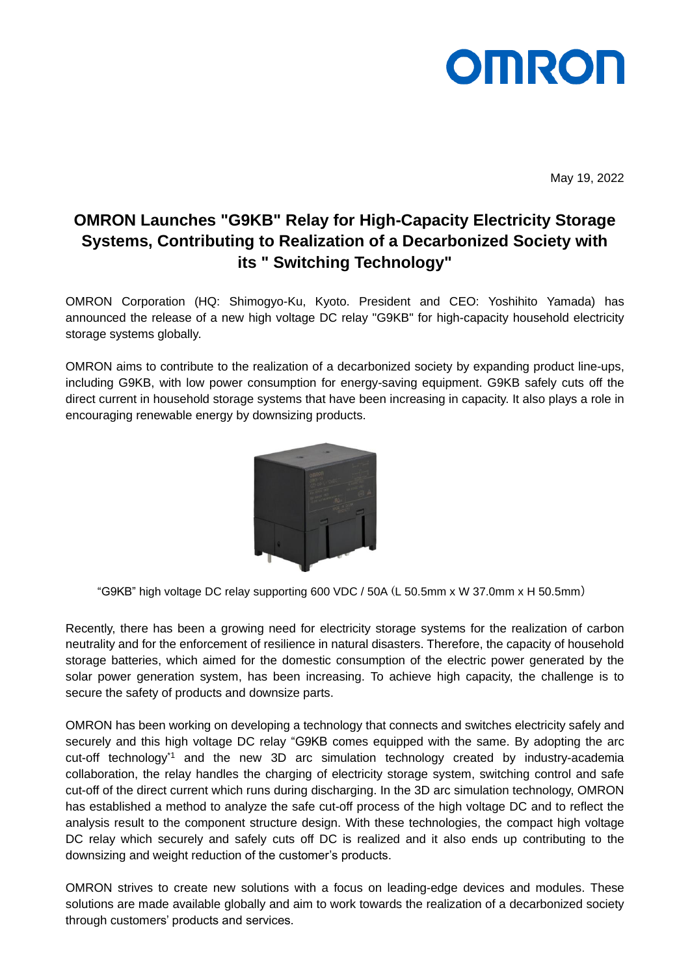# **OMRO**

May 19, 2022

## **OMRON Launches "G9KB" Relay for High-Capacity Electricity Storage Systems, Contributing to Realization of a Decarbonized Society with its " Switching Technology"**

OMRON Corporation (HQ: Shimogyo-Ku, Kyoto. President and CEO: Yoshihito Yamada) has announced the release of a new high voltage DC relay "G9KB" for high-capacity household electricity storage systems globally.

OMRON aims to contribute to the realization of a decarbonized society by expanding product line-ups, including G9KB, with low power consumption for energy-saving equipment. G9KB safely cuts off the direct current in household storage systems that have been increasing in capacity. It also plays a role in encouraging renewable energy by downsizing products.



"G9KB" high voltage DC relay supporting 600 VDC / 50A (L 50.5mm x W 37.0mm x H 50.5mm)

Recently, there has been a growing need for electricity storage systems for the realization of carbon neutrality and for the enforcement of resilience in natural disasters. Therefore, the capacity of household storage batteries, which aimed for the domestic consumption of the electric power generated by the solar power generation system, has been increasing. To achieve high capacity, the challenge is to secure the safety of products and downsize parts.

OMRON has been working on developing a technology that connects and switches electricity safely and securely and this high voltage DC relay "G9KB comes equipped with the same. By adopting the arc cut-off technology\*1 and the new 3D arc simulation technology created by industry-academia collaboration, the relay handles the charging of electricity storage system, switching control and safe cut-off of the direct current which runs during discharging. In the 3D arc simulation technology, OMRON has established a method to analyze the safe cut-off process of the high voltage DC and to reflect the analysis result to the component structure design. With these technologies, the compact high voltage DC relay which securely and safely cuts off DC is realized and it also ends up contributing to the downsizing and weight reduction of the customer's products.

OMRON strives to create new solutions with a focus on leading-edge devices and modules. These solutions are made available globally and aim to work towards the realization of a decarbonized society through customers' products and services.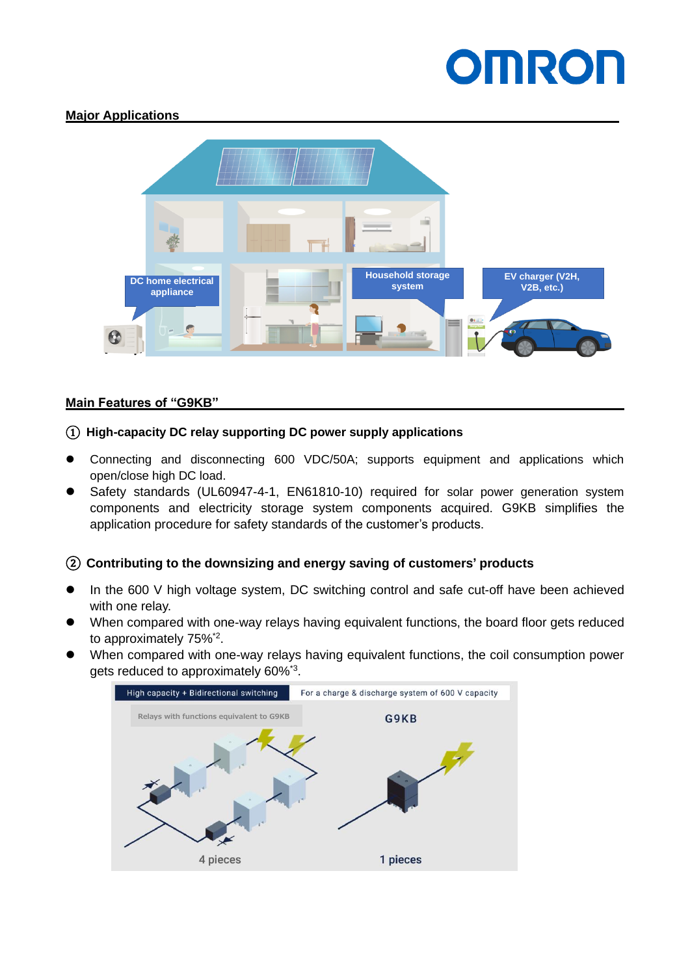# **OMROF**

#### **Major Applications**



### **Main Features of "G9KB"**

#### ① **High-capacity DC relay supporting DC power supply applications**

- ⚫ Connecting and disconnecting 600 VDC/50A; supports equipment and applications which open/close high DC load.
- Safety standards (UL60947-4-1, EN61810-10) required for solar power generation system components and electricity storage system components acquired. G9KB simplifies the application procedure for safety standards of the customer's products.

### ② **Contributing to the downsizing and energy saving of customers' products**

- In the 600 V high voltage system, DC switching control and safe cut-off have been achieved with one relay.
- When compared with one-way relays having equivalent functions, the board floor gets reduced to approximately 75%<sup>\*2</sup>.
- ⚫ When compared with one-way relays having equivalent functions, the coil consumption power gets reduced to approximately 60%\*3 .

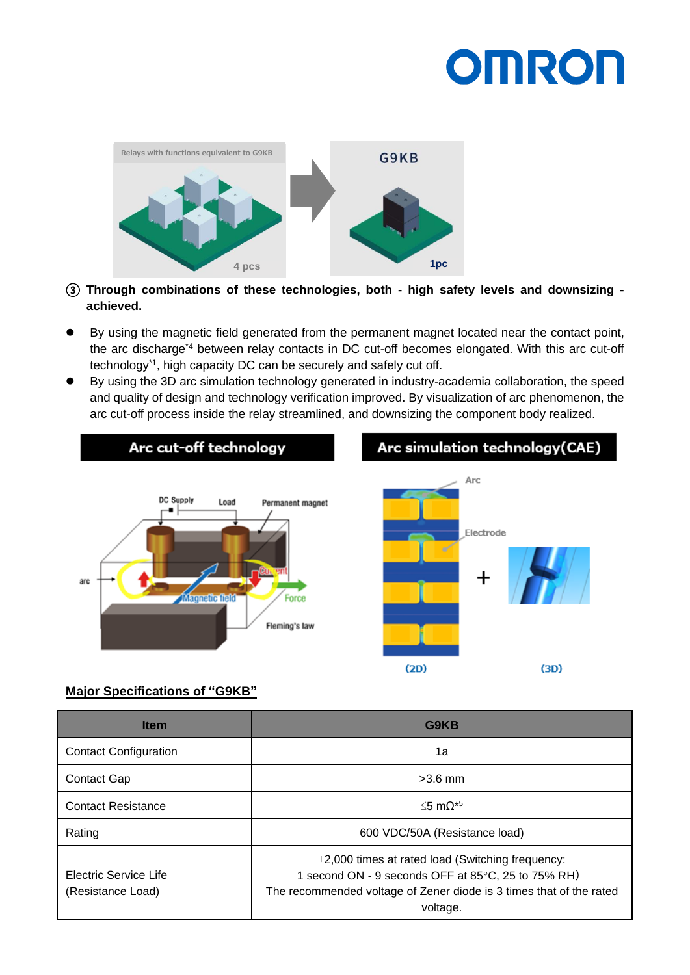# **OMRON**



- ③ **Through combinations of these technologies, both - high safety levels and downsizing achieved.**
- ⚫ By using the magnetic field generated from the permanent magnet located near the contact point, the arc discharge\*4 between relay contacts in DC cut-off becomes elongated. With this arc cut-off technology\*1 , high capacity DC can be securely and safely cut off.
- ⚫ By using the 3D arc simulation technology generated in industry-academia collaboration, the speed and quality of design and technology verification improved. By visualization of arc phenomenon, the arc cut-off process inside the relay streamlined, and downsizing the component body realized.



#### **Major Specifications of "G9KB"**

| <b>Item</b>                                | G9KB                                                                                                                                                                                           |
|--------------------------------------------|------------------------------------------------------------------------------------------------------------------------------------------------------------------------------------------------|
| <b>Contact Configuration</b>               | 1a                                                                                                                                                                                             |
| <b>Contact Gap</b>                         | $>3.6$ mm                                                                                                                                                                                      |
| <b>Contact Resistance</b>                  | ≤5 mΩ* <sup>5</sup>                                                                                                                                                                            |
| Rating                                     | 600 VDC/50A (Resistance load)                                                                                                                                                                  |
| Electric Service Life<br>(Resistance Load) | $\pm$ 2,000 times at rated load (Switching frequency:<br>1 second ON - 9 seconds OFF at 85°C, 25 to 75% RH)<br>The recommended voltage of Zener diode is 3 times that of the rated<br>voltage. |